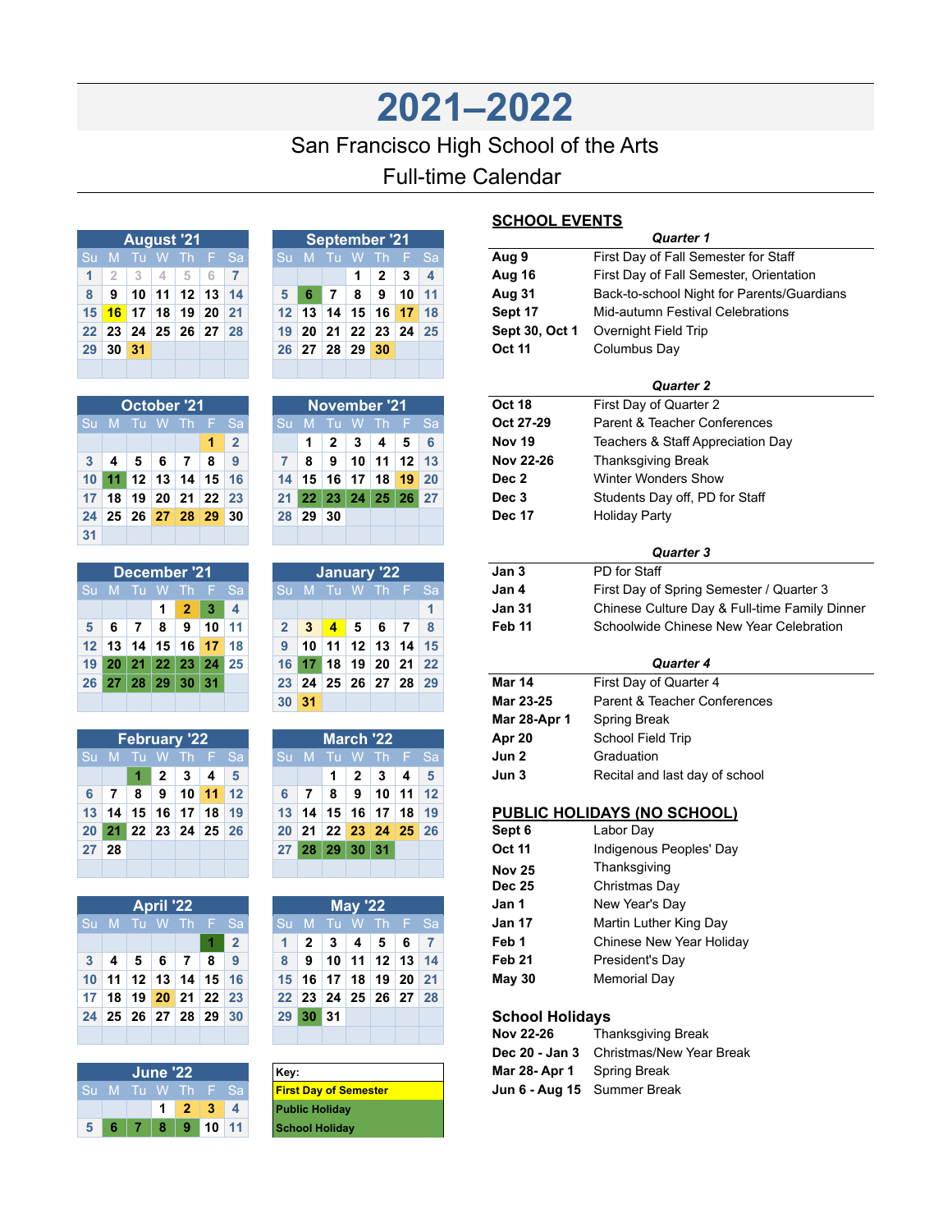## **2021–2022** San Francisco High School of the Arts Full-time Calendar

|                | <b>August '21</b> |  |  |                      |  |  |  |  |  |  |  |  |
|----------------|-------------------|--|--|----------------------|--|--|--|--|--|--|--|--|
|                |                   |  |  | Su M Tu W Th F Sa    |  |  |  |  |  |  |  |  |
| 1 <sup>1</sup> |                   |  |  | 2 3 4 5 6 7          |  |  |  |  |  |  |  |  |
| 8              |                   |  |  | 9 10 11 12 13 14     |  |  |  |  |  |  |  |  |
|                |                   |  |  | 15 16 17 18 19 20 21 |  |  |  |  |  |  |  |  |
|                |                   |  |  | 22 23 24 25 26 27 28 |  |  |  |  |  |  |  |  |
|                | 29 30 31          |  |  |                      |  |  |  |  |  |  |  |  |
|                |                   |  |  |                      |  |  |  |  |  |  |  |  |

| <b>October '21</b> |                       |                      |  |  |   |                |  |  |  |  |  |  |
|--------------------|-----------------------|----------------------|--|--|---|----------------|--|--|--|--|--|--|
|                    | Su M Tu W Th F<br>'Sa |                      |  |  |   |                |  |  |  |  |  |  |
|                    |                       |                      |  |  | 1 | $\overline{2}$ |  |  |  |  |  |  |
| 3 <sup>1</sup>     |                       | 4567                 |  |  | 8 | ∣9             |  |  |  |  |  |  |
|                    |                       | 10 11 12 13 14 15 16 |  |  |   |                |  |  |  |  |  |  |
|                    |                       | 17 18 19 20 21 22 23 |  |  |   |                |  |  |  |  |  |  |
|                    |                       | 24 25 26 27 28 29 30 |  |  |   |                |  |  |  |  |  |  |
| 31                 |                       |                      |  |  |   |                |  |  |  |  |  |  |

| December '21 |  |  |  |                             |  |  |  |  |  |  |  |
|--------------|--|--|--|-----------------------------|--|--|--|--|--|--|--|
|              |  |  |  | Su M Tu W Th F Sa           |  |  |  |  |  |  |  |
|              |  |  |  | $1 \quad 2 \quad 3 \quad 4$ |  |  |  |  |  |  |  |
| 5            |  |  |  | 6 7 8 9 10 11               |  |  |  |  |  |  |  |
|              |  |  |  | 12 13 14 15 16 17 18        |  |  |  |  |  |  |  |
|              |  |  |  | 19 20 21 22 23 24 25        |  |  |  |  |  |  |  |
|              |  |  |  | 26 27 28 29 30 31           |  |  |  |  |  |  |  |
|              |  |  |  |                             |  |  |  |  |  |  |  |

|       | <b>February '22</b> |  |  |                                  |  |  |  |  |  |  |  |  |
|-------|---------------------|--|--|----------------------------------|--|--|--|--|--|--|--|--|
|       | Su M Tu W Th F Sa   |  |  |                                  |  |  |  |  |  |  |  |  |
|       |                     |  |  | $1 \t2 \t3 \t4 \t5$              |  |  |  |  |  |  |  |  |
|       |                     |  |  | 6 7 8 9 10 11 12                 |  |  |  |  |  |  |  |  |
|       |                     |  |  | 13   14   15   16   17   18   19 |  |  |  |  |  |  |  |  |
|       |                     |  |  | 20 21 22 23 24 25 26             |  |  |  |  |  |  |  |  |
| 27 28 |                     |  |  |                                  |  |  |  |  |  |  |  |  |
|       |                     |  |  |                                  |  |  |  |  |  |  |  |  |

| <b>April '22</b> |  |  |  |                      |  |     |  |  |  |  |  |
|------------------|--|--|--|----------------------|--|-----|--|--|--|--|--|
|                  |  |  |  | Su M Tu W Th F       |  | Sa  |  |  |  |  |  |
|                  |  |  |  |                      |  | l 2 |  |  |  |  |  |
| 3 <sup>1</sup>   |  |  |  | 4 5 6 7 8 9          |  |     |  |  |  |  |  |
|                  |  |  |  | 10 11 12 13 14 15 16 |  |     |  |  |  |  |  |
|                  |  |  |  | 17 18 19 20 21 22 23 |  |     |  |  |  |  |  |
|                  |  |  |  | 24 25 26 27 28 29 30 |  |     |  |  |  |  |  |
|                  |  |  |  |                      |  |     |  |  |  |  |  |

|     | <b>June '22</b> | Key:           |   |       |                         |
|-----|-----------------|----------------|---|-------|-------------------------|
| -Su |                 | M Tu W Th F Sa |   |       | <b>First Day of Ser</b> |
|     |                 | $\overline{2}$ | 3 |       | <b>Public Holiday</b>   |
|     |                 |                |   | 10111 | <b>School Holiday</b>   |

| <b>September '21</b> |  |                      |  |                   |                   |                |  |  |  |  |  |  |
|----------------------|--|----------------------|--|-------------------|-------------------|----------------|--|--|--|--|--|--|
|                      |  |                      |  |                   | Su M Tu W Th F Sa |                |  |  |  |  |  |  |
|                      |  |                      |  | $1 \mid 2 \mid 3$ |                   | $\blacksquare$ |  |  |  |  |  |  |
| 5 <sup>1</sup>       |  | 6 7 8 9 10 11        |  |                   |                   |                |  |  |  |  |  |  |
|                      |  | 12 13 14 15 16 17 18 |  |                   |                   |                |  |  |  |  |  |  |
|                      |  | 19 20 21 22 23 24 25 |  |                   |                   |                |  |  |  |  |  |  |
|                      |  | 26 27 28 29 30       |  |                   |                   |                |  |  |  |  |  |  |
|                      |  |                      |  |                   |                   |                |  |  |  |  |  |  |

| November '21 |          |  |  |                                        |  |  |  |  |  |  |  |  |
|--------------|----------|--|--|----------------------------------------|--|--|--|--|--|--|--|--|
|              |          |  |  | Su M Tu W Th F Sa                      |  |  |  |  |  |  |  |  |
|              |          |  |  | $1 \mid 2 \mid 3 \mid 4 \mid 5 \mid 6$ |  |  |  |  |  |  |  |  |
|              |          |  |  | $8$   9   10   11   12   13            |  |  |  |  |  |  |  |  |
|              |          |  |  | 14 15 16 17 18 19 20                   |  |  |  |  |  |  |  |  |
|              |          |  |  | 21 22 23 24 25 26 27                   |  |  |  |  |  |  |  |  |
|              | 28 29 30 |  |  |                                        |  |  |  |  |  |  |  |  |
|              |          |  |  |                                        |  |  |  |  |  |  |  |  |

| PD for Staff       | Jan 3             |    | January '22                   |                 |                 |    |     |                             |     | December '21         |                 |              |       |    |                 |
|--------------------|-------------------|----|-------------------------------|-----------------|-----------------|----|-----|-----------------------------|-----|----------------------|-----------------|--------------|-------|----|-----------------|
| First Day of       | Jan 4             |    |                               | W Th F Sa       |                 | ா  |     | $\mathrm{S}$ <sub>U</sub> M | -Sa | 1 E 7                | -Th             | <b>AVV</b>   | - 111 | M. | Su              |
| <b>Chinese Cul</b> | <b>Jan 31</b>     |    |                               |                 |                 |    |     |                             | 4   | з                    | 2               |              |       |    |                 |
| Schoolwide         | Feb <sub>11</sub> | 8  | 7                             | 6               | 5               | 4  | 3   |                             | 11  | 10                   | 9               | 8            |       | 6  | 5               |
|                    |                   |    | $14 \overline{\phantom{0}15}$ | 13              | 12 <sup>1</sup> | 11 | 10  | 9                           | 18  | 17                   | 16 <sup>1</sup> | 15           | 14    | 13 | 12 <sup>1</sup> |
|                    |                   |    | $21 \ 22$                     | 20 <sup>1</sup> | 19              | 18 |     | 16 <sup>1</sup>             |     | $23 \mid 24 \mid 25$ |                 | $22^{\circ}$ | 21    | 20 | 19 <sup>1</sup> |
| First Day of       | Mar 14            | 29 | 28 <sup>1</sup>               |                 | 26 27           | 25 | 24  | 23                          |     | -31                  | 30              | 29           | 28    | 27 | 26 I            |
| Parent & Tea       | Mar 23-25         |    |                               |                 |                 |    | -31 | 30 <sup>°</sup>             |     |                      |                 |              |       |    |                 |

|                 |       | <b>February '22</b> |                 |                                   |    |              |                 |    |                 | March '22        |                 |    |                               | Apr 20        | <b>School Field</b>        |
|-----------------|-------|---------------------|-----------------|-----------------------------------|----|--------------|-----------------|----|-----------------|------------------|-----------------|----|-------------------------------|---------------|----------------------------|
|                 | Su M  |                     | <b>W</b>        |                                   |    | Th F Sa      | 'Su Mi          |    |                 |                  |                 |    | . Tu W Th F $\mathsf{Sal}$    | Jun 2         | Graduation                 |
|                 |       |                     | 2               | 3                                 | 4  | 5            |                 |    |                 | 2                | 3               | 4  | 5                             | Jun 3         | Recital and I              |
| 6               |       | 8                   | 9               | 10 <sup>1</sup>                   | 11 | $ 12\rangle$ | 6               |    | 8               | 9                | 10 <sup>1</sup> |    | $11 \overline{\phantom{0}12}$ |               |                            |
| 13 <sup>1</sup> | 14    | 15                  | 16 <sup>1</sup> | 17 <sup>1</sup>                   | 18 | 19           | 13 <sup>°</sup> | 14 | 15 <sup>1</sup> |                  | $16$ 17         | 18 | 19                            |               | <b>PUBLIC HOLIDAYS (NO</b> |
|                 | 20 21 |                     |                 | $22 \mid 23 \mid 24 \mid 25 \mid$ |    | 26           | <b>20</b>       | 21 |                 | $22$ 23 24 25 26 |                 |    |                               | Sept 6        | Labor Day                  |
| 27 <sup>1</sup> | 28    |                     |                 |                                   |    |              | 27 <sub>1</sub> | 28 | 29              |                  | 30 31           |    |                               | <b>Oct 11</b> | Indigenous I               |
|                 |       |                     |                 |                                   |    |              |                 |    |                 |                  |                 |    |                               | Nov 25        | Thanksgivin                |

|                | <b>April '22</b> |             |   |               |    |              |  |                 |              |                      | <b>May '22</b>  |                 |            |       | Jan 1                  | New  |
|----------------|------------------|-------------|---|---------------|----|--------------|--|-----------------|--------------|----------------------|-----------------|-----------------|------------|-------|------------------------|------|
|                | Su Mi            | - Tu W      |   |               |    | Th F Sa      |  |                 | $\mathbf{M}$ | Tu W                 |                 | $Th$ $F$        |            | - Sal | <b>Jan 17</b>          | Mart |
|                |                  |             |   |               |    | $\mathbf{2}$ |  |                 | 2            | 3                    | 4               | 5               | 6          |       | Feb 1                  | Chir |
| 3 <sup>1</sup> | 4                | 5           | 6 | 7             | 8  | 9            |  | 8               | 9            | 10                   | 11 <sup>1</sup> |                 | $12$ 13 14 |       | Feb <sub>21</sub>      | Pres |
|                | $10$ 11          |             |   | $12$ 13 14    |    | $15 \, 16$   |  | 15 <sup>1</sup> | - 16 ≒       | 17                   | 18              | 19 <sup>1</sup> | $20 \ 21$  |       | May 30                 | Men  |
| 17             | 18 <sup>1</sup>  | 19          |   | $20$ 21 22 23 |    |              |  | 22 <sub>1</sub> |              | $23 \mid 24 \mid 25$ |                 | 26 <sup>1</sup> | 27         | 28    |                        |      |
|                |                  | 24 25 26 27 |   | 28            | 29 | 30           |  | 29              | 30           | 31                   |                 |                 |            |       | <b>School Holidays</b> |      |
|                |                  |             |   |               |    |              |  |                 |              |                      |                 |                 |            |       | Nov 22-26              | Thai |

| Key:                         |  |
|------------------------------|--|
| <b>First Day of Semester</b> |  |
| <b>Public Holiday</b>        |  |
| <b>School Holiday</b>        |  |

## **SCHOOL EVENTS**

|                  |                |                         |           |                |              |                         |  |              |                              |                 |                     |               |              |              | <u>SUNUUL EVENTS</u>   |                                               |
|------------------|----------------|-------------------------|-----------|----------------|--------------|-------------------------|--|--------------|------------------------------|-----------------|---------------------|---------------|--------------|--------------|------------------------|-----------------------------------------------|
|                  |                | <b>August '21</b>       |           |                |              |                         |  |              |                              |                 | September '21       |               |              |              |                        | <b>Quarter 1</b>                              |
|                  |                | Su M Tu W               |           | -Th            | F.           | Sa                      |  | Sul          |                              |                 | M Tu W Th           |               | Æ.           | Sa           | Aug 9                  | First Day of Fall Semester for Staff          |
| 1                | $\overline{2}$ | 3                       | 4         | 5              | 6            | 7                       |  |              |                              |                 | 1                   | 2             | 3            | 4            | Aug 16                 | First Day of Fall Semester, Orientation       |
| 8                | 9              | 10                      | 11        | 12             | 13           | 14                      |  | 5            | 6                            | 7               | 8                   | 9             | 10           | 11           | Aug 31                 | Back-to-school Night for Parents/Guardians    |
| 15               | 16             | 17                      | 18        | 19             | 20           | 21                      |  | 12           | 13                           | 14              | 15                  | 16            | 17           | 18           | Sept 17                | <b>Mid-autumn Festival Celebrations</b>       |
| 22               | 23             | 24                      |           | 25 26          | 27           | 28                      |  | 19           | 20                           | 21              | 22                  | 23            | 24           | 25           | Sept 30, Oct 1         | Overnight Field Trip                          |
| 29               | 30             | 31                      |           |                |              |                         |  | 26           | 27                           | 28              | 29                  | 30            |              |              | <b>Oct 11</b>          | Columbus Day                                  |
|                  |                |                         |           |                |              |                         |  |              |                              |                 |                     |               |              |              |                        |                                               |
|                  |                |                         |           |                |              |                         |  |              |                              |                 |                     |               |              |              |                        | <b>Quarter 2</b>                              |
|                  |                | <b>October '21</b>      |           |                |              |                         |  |              |                              |                 | <b>November '21</b> |               |              |              | Oct 18                 | First Day of Quarter 2                        |
|                  |                | Su M Tu W Th            |           |                | F.           | Sa                      |  | Sul          | M                            | Tu              | <b>W</b>            | <b>Th</b>     | F            | Sa           | Oct 27-29              | Parent & Teacher Conferences                  |
|                  |                |                         |           |                | 1            | $\overline{\mathbf{2}}$ |  |              | 1                            | 2               | 3                   | 4             | 5            | 6            | <b>Nov 19</b>          | Teachers & Staff Appreciation Day             |
| 3                | 4              | 5                       | 6         | 7              | 8            | 9                       |  | 7            | 8                            | 9               | 10                  | 11            | 12           | 13           | <b>Nov 22-26</b>       | <b>Thanksgiving Break</b>                     |
| 10               | 11             | 12                      | 13        | 14             | 15           | 16                      |  | 14           | 15                           |                 | $16$ 17 18          |               | 19           | 20           | Dec 2                  | <b>Winter Wonders Show</b>                    |
| 17               | 18             | 19                      | 20        | 21             | 22           | 23                      |  | 21           | 22                           |                 | $23$ 24             |               | 25 26        | 27           | Dec 3                  | Students Day off, PD for Staff                |
| 24               | 25             | 26                      |           | 27 28          | 29           | 30                      |  | 28           | 29                           | 30              |                     |               |              |              | <b>Dec 17</b>          | <b>Holiday Party</b>                          |
| 31               |                |                         |           |                |              |                         |  |              |                              |                 |                     |               |              |              |                        |                                               |
|                  |                |                         |           |                |              |                         |  |              |                              |                 |                     |               |              |              | Jan 3                  | <b>Quarter 3</b><br>PD for Staff              |
|                  |                | <b>December '21</b>     |           |                |              |                         |  |              |                              |                 | <b>January '22</b>  |               |              |              |                        |                                               |
|                  |                | Su M Tu W               |           | <b>Th</b>      | F            | Sa                      |  | Su           | M                            |                 | Tu W Th F           |               |              | Sa           | Jan 4                  | First Day of Spring Semester / Quarter 3      |
|                  |                |                         | 1         | $\overline{2}$ | 3            | 4                       |  |              |                              |                 |                     |               |              | $\mathbf{1}$ | Jan 31                 | Chinese Culture Day & Full-time Family Dinner |
| 5                | 6              | $\overline{\mathbf{r}}$ | 8         | 9              | 10           | 11                      |  | $\mathbf{2}$ | 3                            | $\overline{4}$  | 5                   | 6             | 7            | 8            | Feb 11                 | Schoolwide Chinese New Year Celebration       |
| 12               | 13             | 14                      | 15        | 16             | 17           | 18                      |  | 9            | 10                           | 11              | 12                  | 13            | 14           | 15           |                        |                                               |
| 19               | 20             | 21                      | 22        | 23             | 24           | 25                      |  | 16           | 17                           | 18              | 19                  | 20            | 21           | 22           |                        | <b>Quarter 4</b>                              |
|                  | 26 27          | 28                      | 29        | 30 31          |              |                         |  | 23           | 24                           | 25              | 26                  | 27            | 28           | 29           | <b>Mar 14</b>          | First Day of Quarter 4                        |
|                  |                |                         |           |                |              |                         |  | 30           | 31                           |                 |                     |               |              |              | Mar 23-25              | Parent & Teacher Conferences                  |
|                  |                |                         |           |                |              |                         |  |              |                              |                 |                     |               |              |              | Mar 28-Apr 1           | Spring Break                                  |
|                  |                | <b>February '22</b>     |           |                |              |                         |  |              |                              |                 | <b>March '22</b>    |               |              |              | Apr 20                 | School Field Trip                             |
|                  | Su M           | Tu                      | W         | Th             | E            | Sa                      |  | Su M         |                              | Tu              | <b>W</b>            | Th.           | F.           | Sa           | Jun 2                  | Graduation                                    |
|                  |                | 1                       | 2         | 3              | 4            | 5                       |  |              |                              | 1               | 2                   | 3             | 4            | 5            | Jun 3                  | Recital and last day of school                |
| 6                | 7              | 8                       | 9         | 10             | 11           | 12                      |  | 6            | 7                            | 8               | 9                   | 10            | 11           | 12           |                        |                                               |
| 13               | 14             | 15                      | 16        | 17             | 18           | 19                      |  | 13           | 14                           | 15              | 16                  | 17            | 18           | 19           |                        | <b>PUBLIC HOLIDAYS (NO SCHOOL)</b>            |
| 20               | 21             | 22                      | 23        | 24             | 25           | 26                      |  | 20           | 21                           | 22              | 23                  | 24            | 25           | <b>26</b>    | Sept 6                 | Labor Day                                     |
| 27               | 28             |                         |           |                |              |                         |  | 27           |                              |                 | 28 29 30 31         |               |              |              | Oct 11                 | Indigenous Peoples' Day                       |
|                  |                |                         |           |                |              |                         |  |              |                              |                 |                     |               |              |              | <b>Nov 25</b>          | Thanksgiving                                  |
|                  |                |                         |           |                |              |                         |  |              |                              |                 |                     |               |              |              | <b>Dec 25</b>          | Christmas Day                                 |
|                  |                |                         | April '22 |                |              |                         |  |              |                              |                 | <b>May '22</b>      |               |              |              | Jan 1                  | New Year's Day                                |
|                  |                | Su M Tu W Th            |           |                |              | Sa                      |  | Su           | M                            | lu.             | -W                  | $\mathsf{In}$ | F.           | Sa           | Jan 17                 | Martin Luther King Day                        |
|                  |                |                         |           |                |              | $\mathbf{2}$            |  | 1.           | $\mathbf{2}$                 | 3               | 4                   | 5             | 6            | 7            | Feb 1                  | Chinese New Year Holiday                      |
| 3                | 4              | 5                       | 6         | 7              | 8            | 9                       |  | 8            | 9                            | 10 <sup>1</sup> | 11                  | $12$ 13       |              | 14           | Feb 21                 | President's Day                               |
|                  | $10$ 11        | 12                      |           | 13 14          | 15           | 16                      |  | 15           | 16                           | 17              | 18                  | 19 20         |              | 21           | <b>May 30</b>          | <b>Memorial Day</b>                           |
| 17               | 18             | 19                      |           | $20$ 21        | 22           | 23                      |  | 22           | 23                           | 24              | 25                  |               | 26 27        | 28           |                        |                                               |
|                  | 24 25          |                         |           |                | 26 27 28 29  | 30                      |  | 29           | 30 31                        |                 |                     |               |              |              | <b>School Holidays</b> |                                               |
|                  |                |                         |           |                |              |                         |  |              |                              |                 |                     |               |              |              | <b>Nov 22-26</b>       | Thanksgiving Break                            |
|                  |                |                         |           |                |              |                         |  |              |                              |                 |                     |               |              |              | Dec 20 - Jan 3         | Christmas/New Year Break                      |
| June '22<br>Key: |                |                         |           |                |              |                         |  |              |                              |                 |                     | Mar 28-Apr 1  | Spring Break |              |                        |                                               |
|                  |                | Su M Tu W Th            |           |                | F.           | Sa                      |  |              | <b>First Day of Semester</b> |                 |                     |               |              |              | Jun 6 - Aug 15         | Summer Break                                  |
|                  |                |                         | 1         | $\mathbf{2}$   | $\mathbf{3}$ | $\overline{\mathbf{4}}$ |  |              | <b>Public Holiday</b>        |                 |                     |               |              |              |                        |                                               |
|                  |                |                         |           |                |              |                         |  |              |                              |                 |                     |               |              |              |                        |                                               |